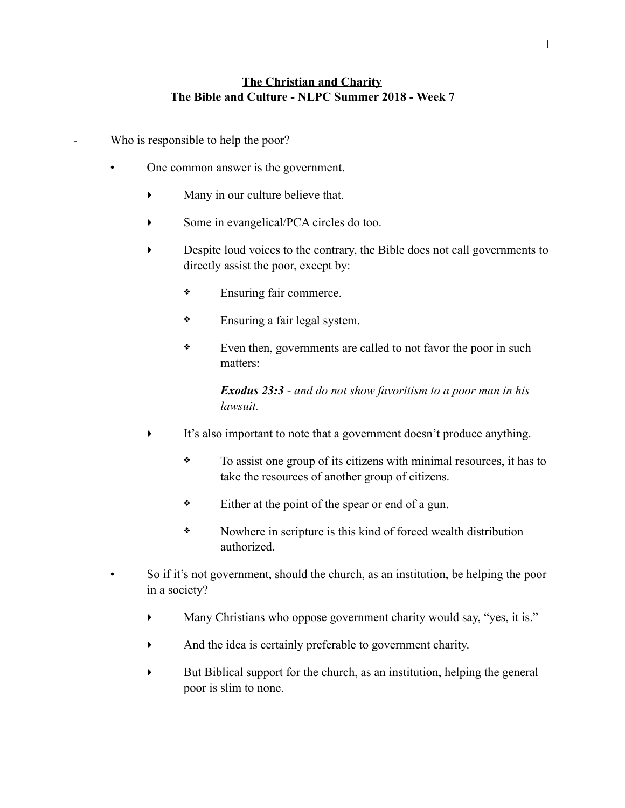## **The Christian and Charity The Bible and Culture - NLPC Summer 2018 - Week 7**

- Who is responsible to help the poor?
	- One common answer is the government.
		- ‣ Many in our culture believe that.
		- Some in evangelical/PCA circles do too.
		- ‣ Despite loud voices to the contrary, the Bible does not call governments to directly assist the poor, except by:
			- ❖ Ensuring fair commerce.
			- ❖ Ensuring a fair legal system.
			- ❖ Even then, governments are called to not favor the poor in such matters:

*Exodus 23:3 - and do not show favoritism to a poor man in his lawsuit.* 

- It's also important to note that a government doesn't produce anything.
	- ❖ To assist one group of its citizens with minimal resources, it has to take the resources of another group of citizens.
	- ❖ Either at the point of the spear or end of a gun.
	- ❖ Nowhere in scripture is this kind of forced wealth distribution authorized.
- So if it's not government, should the church, as an institution, be helping the poor in a society?
	- Many Christians who oppose government charity would say, "yes, it is."
	- ‣ And the idea is certainly preferable to government charity.
	- ‣ But Biblical support for the church, as an institution, helping the general poor is slim to none.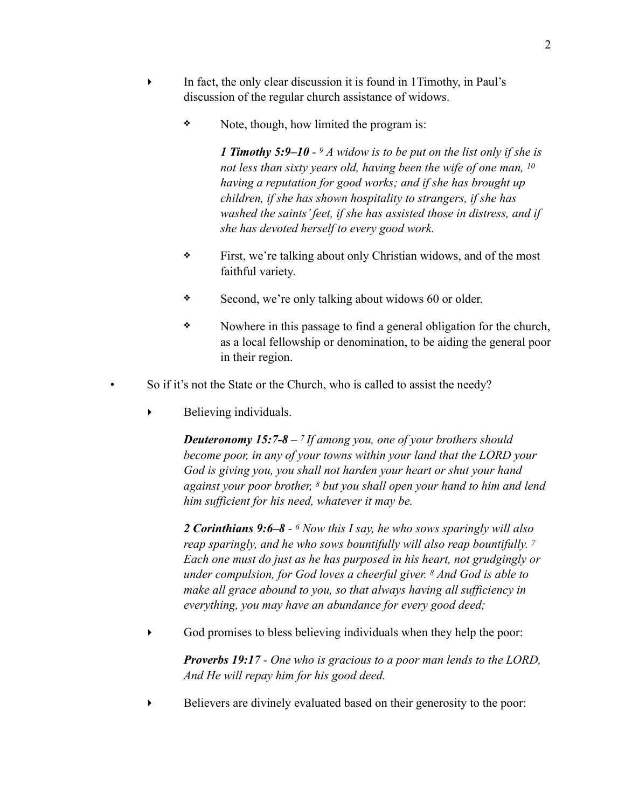- ‣ In fact, the only clear discussion it is found in 1Timothy, in Paul's discussion of the regular church assistance of widows.
	- ❖ Note, though, how limited the program is:

*1 Timothy 5:9–10 - 9 A widow is to be put on the list only if she is not less than sixty years old, having been the wife of one man, 10 having a reputation for good works; and if she has brought up children, if she has shown hospitality to strangers, if she has washed the saints' feet, if she has assisted those in distress, and if she has devoted herself to every good work.* 

- ❖ First, we're talking about only Christian widows, and of the most faithful variety.
- ❖ Second, we're only talking about widows 60 or older.
- ❖ Nowhere in this passage to find a general obligation for the church, as a local fellowship or denomination, to be aiding the general poor in their region.
- So if it's not the State or the Church, who is called to assist the needy?
	- ‣ Believing individuals.

*Deuteronomy 15:7-8 – 7 If among you, one of your brothers should become poor, in any of your towns within your land that the LORD your God is giving you, you shall not harden your heart or shut your hand against your poor brother, 8 but you shall open your hand to him and lend him sufficient for his need, whatever it may be.* 

*2 Corinthians 9:6–8 - 6 Now this I say, he who sows sparingly will also reap sparingly, and he who sows bountifully will also reap bountifully. 7 Each one must do just as he has purposed in his heart, not grudgingly or under compulsion, for God loves a cheerful giver. 8 And God is able to make all grace abound to you, so that always having all sufficiency in everything, you may have an abundance for every good deed;* 

 $\blacktriangleright$  God promises to bless believing individuals when they help the poor:

*Proverbs 19:17 - One who is gracious to a poor man lends to the LORD, And He will repay him for his good deed.* 

Believers are divinely evaluated based on their generosity to the poor: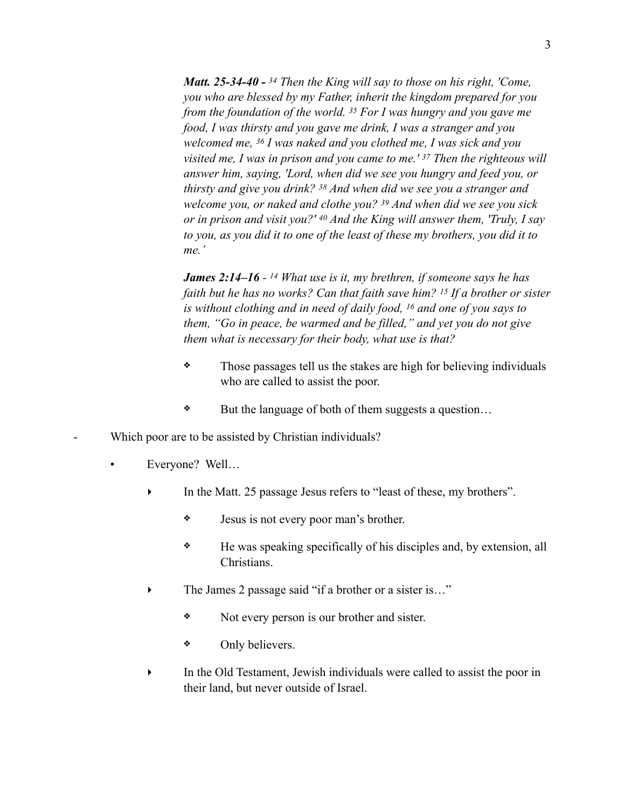*Matt. 25-34-40 - 34 Then the King will say to those on his right, 'Come, you who are blessed by my Father, inherit the kingdom prepared for you from the foundation of the world. 35 For I was hungry and you gave me food, I was thirsty and you gave me drink, I was a stranger and you welcomed me, 36 I was naked and you clothed me, I was sick and you visited me, I was in prison and you came to me.' 37 Then the righteous will answer him, saying, 'Lord, when did we see you hungry and feed you, or thirsty and give you drink? 38 And when did we see you a stranger and welcome you, or naked and clothe you? 39 And when did we see you sick or in prison and visit you?' 40 And the King will answer them, 'Truly, I say to you, as you did it to one of the least of these my brothers, you did it to me.'* 

*James 2:14–16 - 14 What use is it, my brethren, if someone says he has faith but he has no works? Can that faith save him? 15 If a brother or sister is without clothing and in need of daily food, 16 and one of you says to them, "Go in peace, be warmed and be filled," and yet you do not give them what is necessary for their body, what use is that?* 

- ❖ Those passages tell us the stakes are high for believing individuals who are called to assist the poor.
- ❖ But the language of both of them suggests a question…
- Which poor are to be assisted by Christian individuals?
	- Everyone? Well...
		- In the Matt. 25 passage Jesus refers to "least of these, my brothers".
			- ❖ Jesus is not every poor man's brother.
			- ❖ He was speaking specifically of his disciples and, by extension, all Christians.
		- The James 2 passage said "if a brother or a sister is..."
			- ❖ Not every person is our brother and sister.
			- ❖ Only believers.
		- In the Old Testament, Jewish individuals were called to assist the poor in their land, but never outside of Israel.